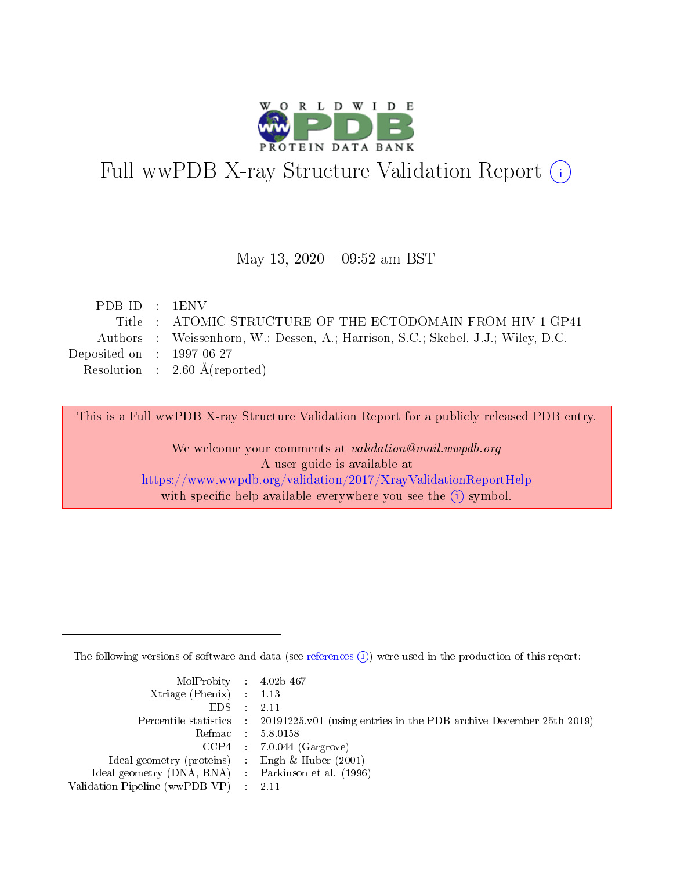

# Full wwPDB X-ray Structure Validation Report (i)

### May 13, 2020 - 09:52 am BST

| PDB ID : 1ENV               |                                                                                  |
|-----------------------------|----------------------------------------------------------------------------------|
|                             | Title : ATOMIC STRUCTURE OF THE ECTODOMAIN FROM HIV-1 GP41                       |
|                             | Authors : Weissenhorn, W.; Dessen, A.; Harrison, S.C.; Skehel, J.J.; Wiley, D.C. |
| Deposited on : $1997-06-27$ |                                                                                  |
|                             | Resolution : $2.60 \text{ Å}$ (reported)                                         |
|                             |                                                                                  |

This is a Full wwPDB X-ray Structure Validation Report for a publicly released PDB entry.

We welcome your comments at validation@mail.wwpdb.org A user guide is available at <https://www.wwpdb.org/validation/2017/XrayValidationReportHelp> with specific help available everywhere you see the  $(i)$  symbol.

The following versions of software and data (see [references](https://www.wwpdb.org/validation/2017/XrayValidationReportHelp#references)  $(i)$ ) were used in the production of this report:

| MolProbity : $4.02b-467$                            |                                                                                            |
|-----------------------------------------------------|--------------------------------------------------------------------------------------------|
| Xtriage (Phenix) $: 1.13$                           |                                                                                            |
| EDS -                                               | 2.11                                                                                       |
|                                                     | Percentile statistics : 20191225.v01 (using entries in the PDB archive December 25th 2019) |
|                                                     | Refmac 58.0158                                                                             |
|                                                     | $CCP4$ 7.0.044 (Gargrove)                                                                  |
| Ideal geometry (proteins) : Engh $\&$ Huber (2001)  |                                                                                            |
| Ideal geometry (DNA, RNA) : Parkinson et al. (1996) |                                                                                            |
| Validation Pipeline (wwPDB-VP)                      | -2.11                                                                                      |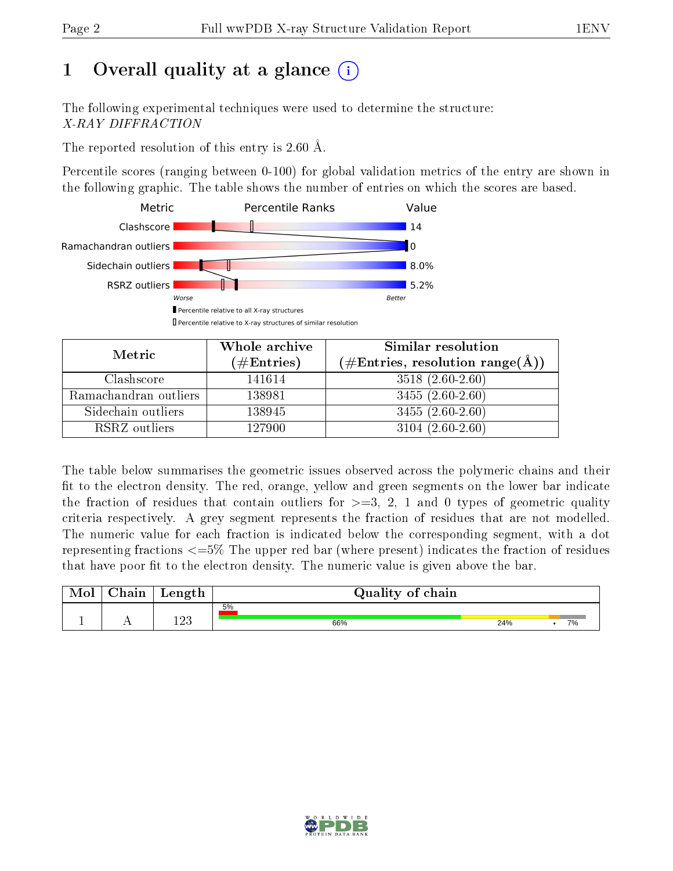# 1 [O](https://www.wwpdb.org/validation/2017/XrayValidationReportHelp#overall_quality)verall quality at a glance  $(i)$

The following experimental techniques were used to determine the structure: X-RAY DIFFRACTION

The reported resolution of this entry is 2.60 Å.

Percentile scores (ranging between 0-100) for global validation metrics of the entry are shown in the following graphic. The table shows the number of entries on which the scores are based.



| Metric                | Whole archive<br>$(\#\text{Entries})$ | Similar resolution<br>$(\#\text{Entries}, \text{resolution range}(\AA))$ |
|-----------------------|---------------------------------------|--------------------------------------------------------------------------|
| Clashscore            | 141614                                | $3518(2.60-2.60)$                                                        |
| Ramachandran outliers | 138981                                | $3455(2.60-2.60)$                                                        |
| Sidechain outliers    | 138945                                | $3455(2.60-2.60)$                                                        |
| RSRZ outliers         | 127900                                | $3104(2.60-2.60)$                                                        |

The table below summarises the geometric issues observed across the polymeric chains and their fit to the electron density. The red, orange, yellow and green segments on the lower bar indicate the fraction of residues that contain outliers for  $\geq=3$ , 2, 1 and 0 types of geometric quality criteria respectively. A grey segment represents the fraction of residues that are not modelled. The numeric value for each fraction is indicated below the corresponding segment, with a dot representing fractions  $\epsilon = 5\%$  The upper red bar (where present) indicates the fraction of residues that have poor fit to the electron density. The numeric value is given above the bar.

| ${\bf Chain}$ | Length      | Quality of chain |     |    |  |  |  |
|---------------|-------------|------------------|-----|----|--|--|--|
|               | 1 ດາ<br>⊥∠∪ | 5%<br>66%        | 24% | 7% |  |  |  |

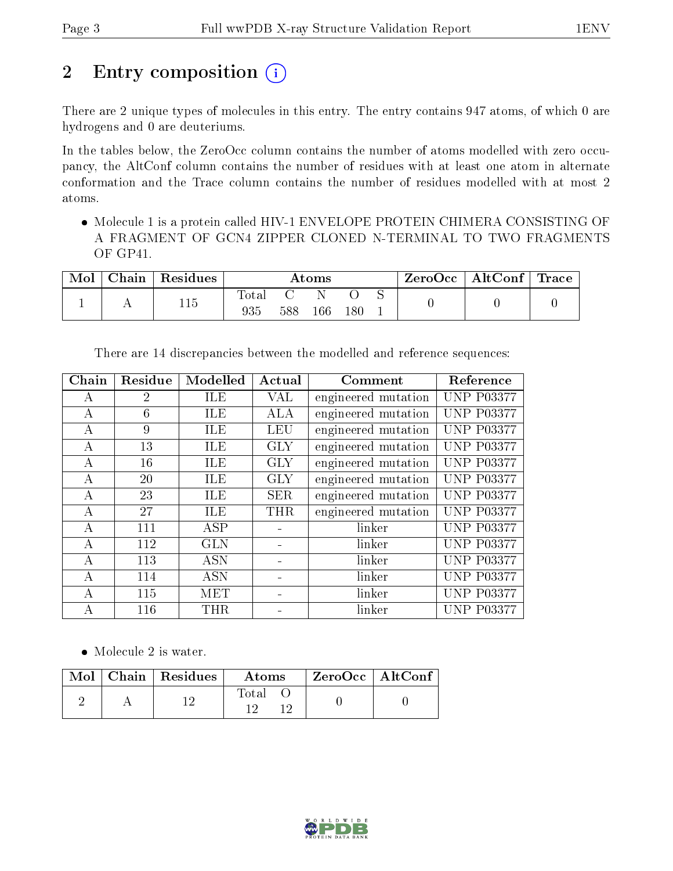# 2 Entry composition (i)

There are 2 unique types of molecules in this entry. The entry contains 947 atoms, of which 0 are hydrogens and 0 are deuteriums.

In the tables below, the ZeroOcc column contains the number of atoms modelled with zero occupancy, the AltConf column contains the number of residues with at least one atom in alternate conformation and the Trace column contains the number of residues modelled with at most 2 atoms.

 Molecule 1 is a protein called HIV-1 ENVELOPE PROTEIN CHIMERA CONSISTING OF A FRAGMENT OF GCN4 ZIPPER CLONED N-TERMINAL TO TWO FRAGMENTS OF GP41.

| Mol | Chain | $\perp$ Residues | Atoms       |     |         | ZeroOcc | $\mid$ AltConf $\mid$ Trace |  |  |  |
|-----|-------|------------------|-------------|-----|---------|---------|-----------------------------|--|--|--|
|     |       | 115              | $\rm Total$ |     |         |         |                             |  |  |  |
|     |       |                  |             | 588 | $166\,$ | 180     |                             |  |  |  |

| Chain | Residue        | $\overline{\text{Model}}$ | Actual     | Comment             | Reference         |
|-------|----------------|---------------------------|------------|---------------------|-------------------|
| А     | $\overline{2}$ | ILE                       | <b>VAL</b> | engineered mutation | <b>UNP P03377</b> |
| А     | 6              | <b>ILE</b>                | <b>ALA</b> | engineered mutation | <b>UNP P03377</b> |
| А     | 9              | <b>ILE</b>                | <b>LEU</b> | engineered mutation | <b>UNP P03377</b> |
| А     | 13             | <b>ILE</b>                | <b>GLY</b> | engineered mutation | <b>UNP P03377</b> |
| A     | 16             | <b>ILE</b>                | <b>GLY</b> | engineered mutation | <b>UNP P03377</b> |
| А     | 20             | <b>ILE</b>                | <b>GLY</b> | engineered mutation | <b>UNP P03377</b> |
| А     | 23             | <b>ILE</b>                | <b>SER</b> | engineered mutation | <b>UNP P03377</b> |
| А     | 27             | ILE                       | <b>THR</b> | engineered mutation | <b>UNP P03377</b> |
| А     | 111            | ASP                       |            | linker              | <b>UNP P03377</b> |
| А     | 112            | <b>GLN</b>                |            | linker              | <b>UNP P03377</b> |
| А     | 113            | <b>ASN</b>                |            | linker              | <b>UNP P03377</b> |
| А     | 114            | <b>ASN</b>                |            | linker              | <b>UNP P03377</b> |
| A     | 115            | MET                       |            | linker              | <b>UNP P03377</b> |
| A     | 116            | THR                       |            | linker              | <b>UNP P03377</b> |

There are 14 discrepancies between the modelled and reference sequences:

• Molecule 2 is water.

|  | Mol   Chain   Residues | Atoms | $\mid$ ZeroOcc $\mid$ AltConf $\mid$ |  |
|--|------------------------|-------|--------------------------------------|--|
|  |                        | Fotal |                                      |  |

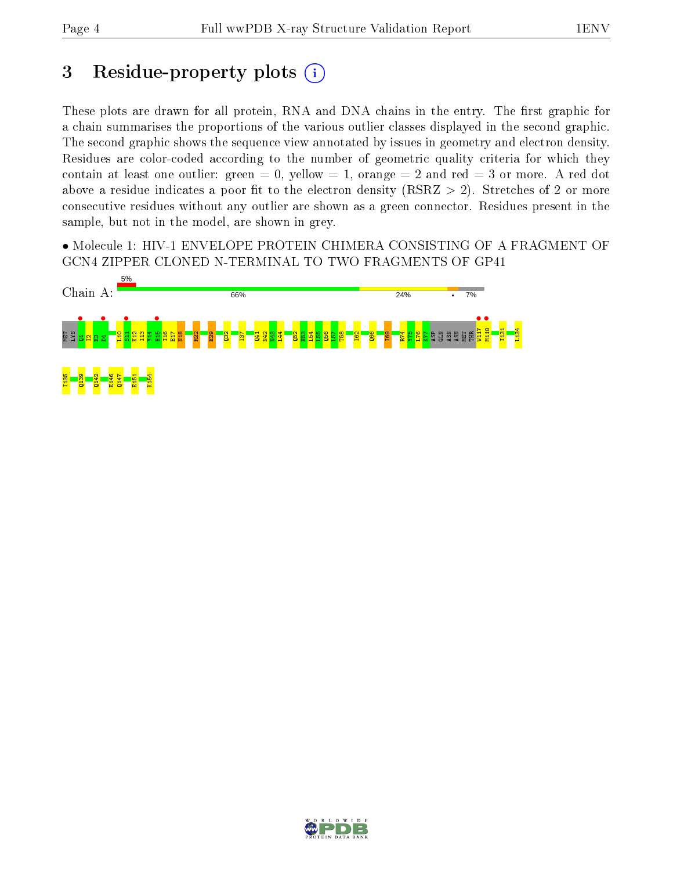# 3 Residue-property plots  $(i)$

These plots are drawn for all protein, RNA and DNA chains in the entry. The first graphic for a chain summarises the proportions of the various outlier classes displayed in the second graphic. The second graphic shows the sequence view annotated by issues in geometry and electron density. Residues are color-coded according to the number of geometric quality criteria for which they contain at least one outlier: green  $= 0$ , yellow  $= 1$ , orange  $= 2$  and red  $= 3$  or more. A red dot above a residue indicates a poor fit to the electron density (RSRZ  $> 2$ ). Stretches of 2 or more consecutive residues without any outlier are shown as a green connector. Residues present in the sample, but not in the model, are shown in grey.

• Molecule 1: HIV-1 ENVELOPE PROTEIN CHIMERA CONSISTING OF A FRAGMENT OF GCN4 ZIPPER CLONED N-TERMINAL TO TWO FRAGMENTS OF GP41



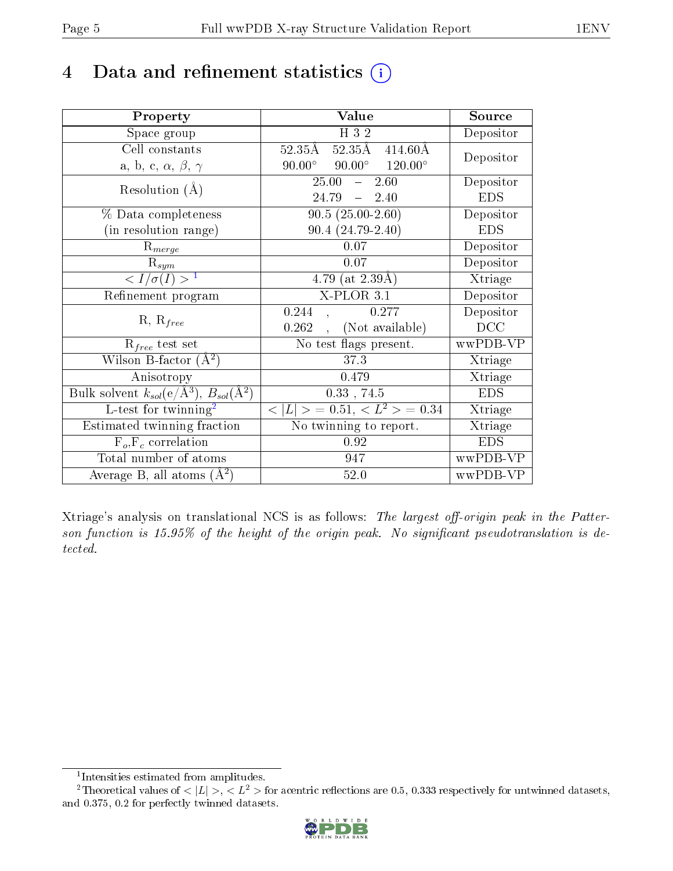# 4 Data and refinement statistics  $(i)$

| Property                                                         | Value                                      | Source     |
|------------------------------------------------------------------|--------------------------------------------|------------|
| Space group                                                      | H 3 2                                      | Depositor  |
| Cell constants                                                   | 52.35Å 414.60Å<br>$52.35\text{\AA}$        |            |
| a, b, c, $\alpha$ , $\beta$ , $\gamma$                           | $90.00^{\circ}$ 120.00°<br>$90.00^\circ$   | Depositor  |
| Resolution $(A)$                                                 | 2.60<br>25.00<br>$\frac{1}{2}$             | Depositor  |
|                                                                  | 24.79<br>$-2.40$                           | <b>EDS</b> |
| % Data completeness                                              | $90.5(25.00-2.60)$                         | Depositor  |
| (in resolution range)                                            | $90.4(24.79-2.40)$                         | <b>EDS</b> |
| $R_{merge}$                                                      | 0.07                                       | Depositor  |
| $\mathrm{R}_{sym}$                                               | 0.07                                       | Depositor  |
| $\overline{1$                                                    | 4.79 (at $2.39\text{\AA}$ )                | Xtriage    |
| Refinement program                                               | $X-PLOR$ 3.1                               | Depositor  |
|                                                                  | 0.244<br>0.277                             | Depositor  |
| $R, R_{free}$                                                    | (Not available)<br>0.262                   | DCC        |
| $R_{free}$ test set                                              | $\overline{\text{No}}$ test flags present. | wwPDB-VP   |
| Wilson B-factor $(A^2)$                                          | 37.3                                       | Xtriage    |
| Anisotropy                                                       | 0.479                                      | Xtriage    |
| Bulk solvent $k_{sol}(\text{e}/\text{A}^3), B_{sol}(\text{A}^2)$ | $0.33$ , $74.5$                            | <b>EDS</b> |
| L-test for twinning <sup>2</sup>                                 | $< L >$ = 0.51, $< L^2 >$ = 0.34           | Xtriage    |
| Estimated twinning fraction                                      | No twinning to report.                     | Xtriage    |
| $F_o, F_c$ correlation                                           | 0.92                                       | <b>EDS</b> |
| Total number of atoms                                            | 947                                        | wwPDB-VP   |
| Average B, all atoms $(A^2)$                                     | 52.0                                       | wwPDB-VP   |

Xtriage's analysis on translational NCS is as follows: The largest off-origin peak in the Patterson function is  $15.95\%$  of the height of the origin peak. No significant pseudotranslation is detected.

<sup>&</sup>lt;sup>2</sup>Theoretical values of  $\langle |L| \rangle$ ,  $\langle L^2 \rangle$  for acentric reflections are 0.5, 0.333 respectively for untwinned datasets, and 0.375, 0.2 for perfectly twinned datasets.



<span id="page-4-1"></span><span id="page-4-0"></span><sup>1</sup> Intensities estimated from amplitudes.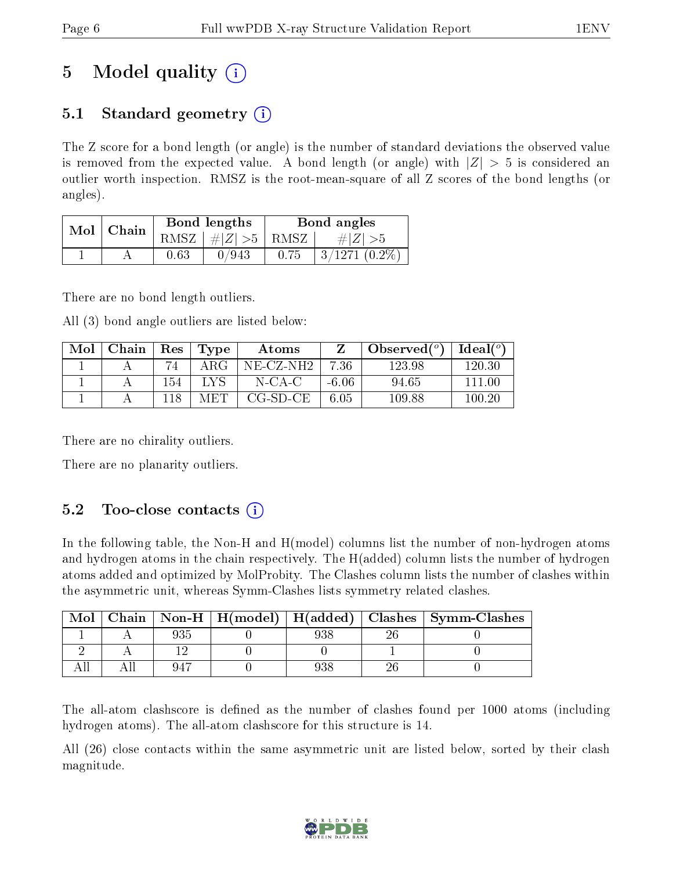# 5 Model quality  $(i)$

## 5.1 Standard geometry  $\overline{()}$

The Z score for a bond length (or angle) is the number of standard deviations the observed value is removed from the expected value. A bond length (or angle) with  $|Z| > 5$  is considered an outlier worth inspection. RMSZ is the root-mean-square of all Z scores of the bond lengths (or angles).

| Mol | Chain |      | Bond lengths                | Bond angles |                  |  |
|-----|-------|------|-----------------------------|-------------|------------------|--|
|     |       | RMSZ | $\# Z  > 5$                 | RMSZ        | $\# Z  > 5$      |  |
|     |       | 0.63 | $0\,\rm/\hspace{-0.1ex}943$ | 0.75        | $3/1271$ (0.2\%) |  |

There are no bond length outliers.

All (3) bond angle outliers are listed below:

| Mol | Chain | Res  | Type | Atoms      |         | Observed $(°)$ | Ideal $(°)$ |
|-----|-------|------|------|------------|---------|----------------|-------------|
|     |       | 74   | ARG  | NE-CZ-NH2  | 7.36    | 123.98         | 120.30      |
|     |       | 154  |      | N-CA-C     | $-6.06$ | 94.65          | 111.00      |
|     |       | l 18 | MET  | $CG-SD-CE$ | 6.05    | 109.88         | 100-20      |

There are no chirality outliers.

There are no planarity outliers.

## 5.2 Too-close contacts  $(i)$

In the following table, the Non-H and H(model) columns list the number of non-hydrogen atoms and hydrogen atoms in the chain respectively. The H(added) column lists the number of hydrogen atoms added and optimized by MolProbity. The Clashes column lists the number of clashes within the asymmetric unit, whereas Symm-Clashes lists symmetry related clashes.

| Mol |     |     | Chain   Non-H   H(model)   H(added)   Clashes   Symm-Clashes |
|-----|-----|-----|--------------------------------------------------------------|
|     | 935 | 938 |                                                              |
|     |     |     |                                                              |
|     |     | 138 |                                                              |

The all-atom clashscore is defined as the number of clashes found per 1000 atoms (including hydrogen atoms). The all-atom clashscore for this structure is 14.

All (26) close contacts within the same asymmetric unit are listed below, sorted by their clash magnitude.

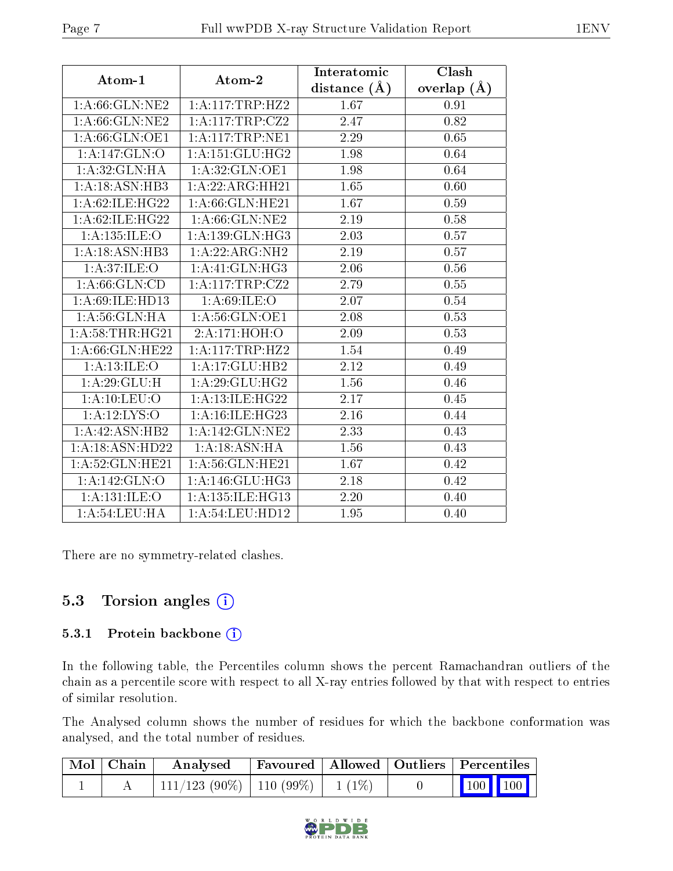| Atom-1                    | Atom-2                                    | Interatomic       | Clash         |
|---------------------------|-------------------------------------------|-------------------|---------------|
|                           |                                           | distance $(A)$    | overlap $(A)$ |
| 1: A:66: GLN: NE2         | 1:A:117:TRP:HZ2                           | 1.67              | 0.91          |
| 1: A:66: GLN:NE2          | 1:A:117:TRP:CZ2                           | 2.47              | 0.82          |
| 1: A:66: GLN:OE1          | 1: A: 117: TRP: NE1                       | 2.29              | 0.65          |
| 1: A:147: GLN:O           | 1: A:151: GLU:HG2                         | 1.98              | 0.64          |
| 1: A:32: GLN: HA          | 1:A:32:GLN:OE1                            | 1.98              | 0.64          |
| 1: A: 18: ASN: HB3        | 1:A:22:ARG:HH21                           | 1.65              | 0.60          |
| 1: A:62: ILE: HG22        | 1: A:66: GLN: HE21                        | 1.67              | 0.59          |
| 1: A:62: ILE: HG22        | 1: A:66: GLN:NE2                          | 2.19              | 0.58          |
| 1:A:135:ILE:O             | 1: A: 139: GLN: HG3                       | 2.03              | 0.57          |
| 1:A:18:ASN:HB3            | 1: A:22: ARG: NH2                         | 2.19              | 0.57          |
| 1: A:37: ILE: O           | $1:A:41:\overline{\text{GLN}:\text{HG3}}$ | 2.06              | 0.56          |
| 1: A:66: GLN:CD           | 1:A:117:TRP:CZ2                           | 2.79              | 0.55          |
| 1: A:69: ILE: HD13        | 1: A:69: ILE: O                           | 2.07              | 0.54          |
| 1: A:56: GLN: HA          | 1:A:56:GLN:OE1                            | 2.08              | 0.53          |
| 1:A:58:THR:HG21           | 2:A:171:HOH:O                             | $\overline{2.09}$ | 0.53          |
| 1: A:66: GLN: HE22        | 1: A:117:TRP:HZ2                          | 1.54              | 0.49          |
| 1:A:13:ILE:O              | 1:A:17:GLU:HB2                            | 2.12              | 0.49          |
| 1: A:29: GLU: H           | 1: A:29: GLU:HG2                          | 1.56              | 0.46          |
| 1:A:10:LEU:O              | 1:A:13:ILE:HG22                           | 2.17              | 0.45          |
| $1:A:12:\overline{LYS:O}$ | 1:A:16:ILE:HG23                           | 2.16              | 0.44          |
| 1: A:42: ASN:HB2          | 1:A:142:GLN:NE2                           | 2.33              | 0.43          |
| 1:A:18:ASN:HD22           | 1:A:18:ASN:HA                             | 1.56              | 0.43          |
| 1: A:52: GLN: HE21        | $1: A:56: \overline{GLN:HE21}$            | 1.67              | 0.42          |
| 1: A: 142: GLN:O          | 1: A:146: GLU:HG3                         | 2.18              | 0.42          |
| 1:A:131:ILE:O             | 1:A:135:ILE:HG13                          | 2.20              | 0.40          |
| 1: A:54:LEU:HA            | 1: A:54:LEU:HD12                          | 1.95              | 0.40          |

There are no symmetry-related clashes.

## 5.3 Torsion angles  $(i)$

#### 5.3.1 Protein backbone (i)

In the following table, the Percentiles column shows the percent Ramachandran outliers of the chain as a percentile score with respect to all X-ray entries followed by that with respect to entries of similar resolution.

The Analysed column shows the number of residues for which the backbone conformation was analysed, and the total number of residues.

| Mol   Chain | Analysed                                |  | Favoured   Allowed   Outliers   Percentiles                  |
|-------------|-----------------------------------------|--|--------------------------------------------------------------|
|             | $111/123$ (90\%)   110 (99\%)   1 (1\%) |  | $\begin{array}{ c c c c c }\n\hline\n100 & 100\n\end{array}$ |

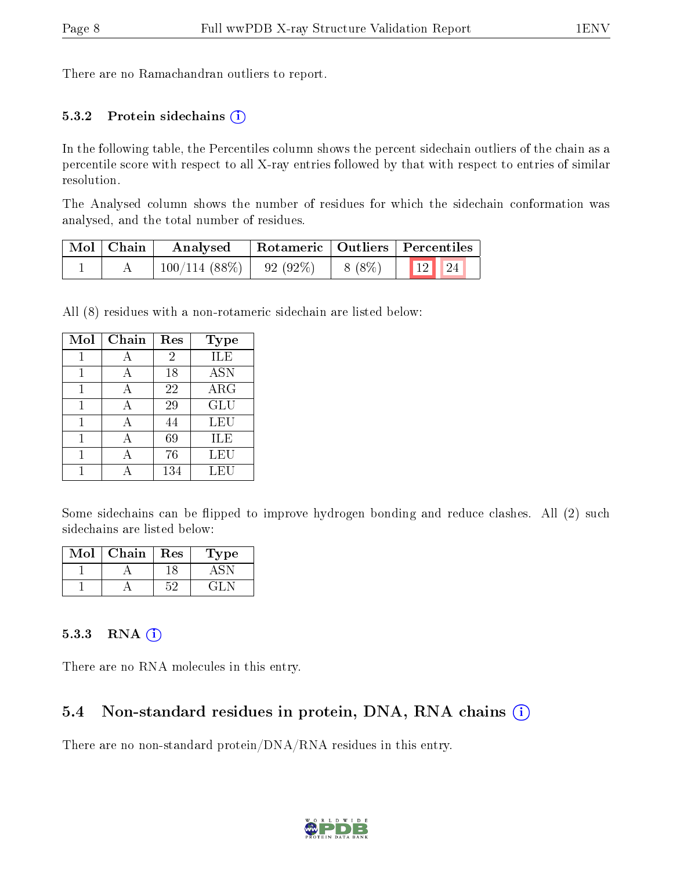There are no Ramachandran outliers to report.

#### 5.3.2 Protein sidechains  $(i)$

In the following table, the Percentiles column shows the percent sidechain outliers of the chain as a percentile score with respect to all X-ray entries followed by that with respect to entries of similar resolution.

The Analysed column shows the number of residues for which the sidechain conformation was analysed, and the total number of residues.

| Mol   Chain | Analysed        |                   | $\,$ Rotameric   Outliers   Percentiles |
|-------------|-----------------|-------------------|-----------------------------------------|
|             | $100/114(88\%)$ | $92(92\%)$ 8(8\%) | 12 24                                   |

All (8) residues with a non-rotameric sidechain are listed below:

| Mol | Chain        | Res            | <b>Type</b> |
|-----|--------------|----------------|-------------|
|     |              | $\overline{2}$ | ILE         |
|     | А            | 18             | <b>ASN</b>  |
|     | А            | 22             | $\rm{ARG}$  |
| 1   | А            | 29             | GLU         |
| 1   | А            | 44             | LEU         |
|     | $\mathsf{A}$ | 69             | ILE         |
|     | А            | 76             | LEU         |
|     |              | 134            | LEU         |

Some sidechains can be flipped to improve hydrogen bonding and reduce clashes. All (2) such sidechains are listed below:

| Mol | Chain | Res | Type |
|-----|-------|-----|------|
|     |       |     |      |
|     |       |     | 4L.  |

#### 5.3.3 RNA (i)

There are no RNA molecules in this entry.

### 5.4 Non-standard residues in protein, DNA, RNA chains (i)

There are no non-standard protein/DNA/RNA residues in this entry.

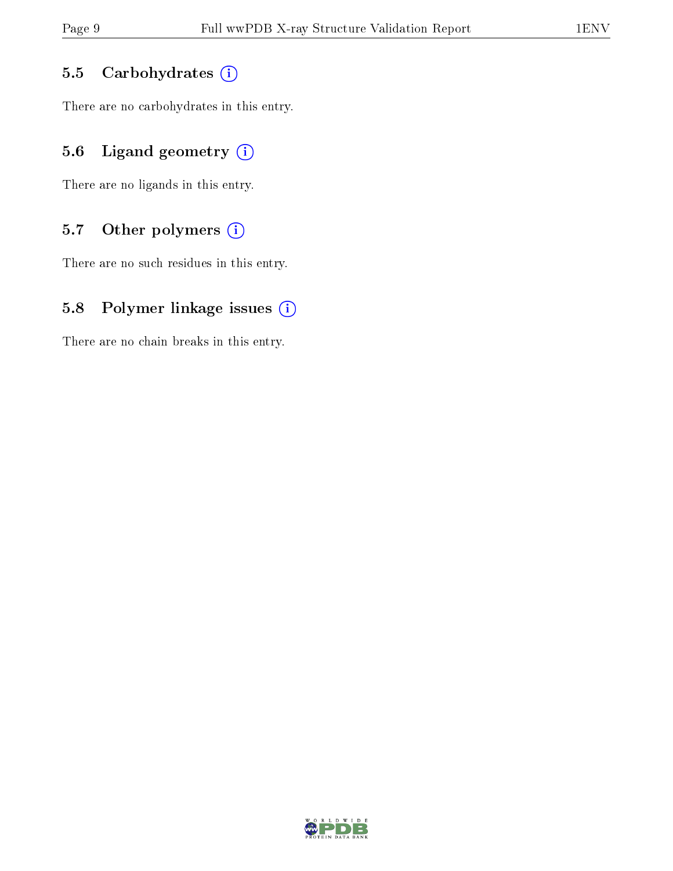### 5.5 Carbohydrates  $(i)$

There are no carbohydrates in this entry.

## 5.6 Ligand geometry  $(i)$

There are no ligands in this entry.

### 5.7 [O](https://www.wwpdb.org/validation/2017/XrayValidationReportHelp#nonstandard_residues_and_ligands)ther polymers  $(i)$

There are no such residues in this entry.

### 5.8 Polymer linkage issues  $(i)$

There are no chain breaks in this entry.